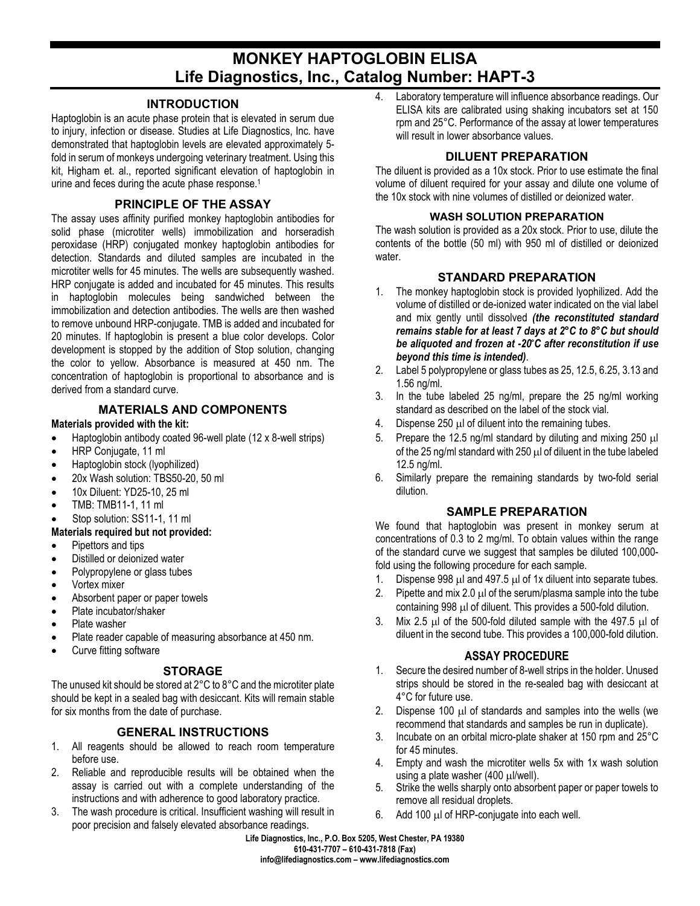# **MONKEY HAPTOGLOBIN ELISA Life Diagnostics, Inc., Catalog Number: HAPT-3**

#### **INTRODUCTION**

Haptoglobin is an acute phase protein that is elevated in serum due to injury, infection or disease. Studies at Life Diagnostics, Inc. have demonstrated that haptoglobin levels are elevated approximately 5 fold in serum of monkeys undergoing veterinary treatment. Using this kit, Higham et. al., reported significant elevation of haptoglobin in urine and feces during the acute phase response.<sup>1</sup>

## **PRINCIPLE OF THE ASSAY**

The assay uses affinity purified monkey haptoglobin antibodies for solid phase (microtiter wells) immobilization and horseradish peroxidase (HRP) conjugated monkey haptoglobin antibodies for detection. Standards and diluted samples are incubated in the microtiter wells for 45 minutes. The wells are subsequently washed. HRP conjugate is added and incubated for 45 minutes. This results in haptoglobin molecules being sandwiched between the immobilization and detection antibodies. The wells are then washed to remove unbound HRP-conjugate. TMB is added and incubated for 20 minutes. If haptoglobin is present a blue color develops. Color development is stopped by the addition of Stop solution, changing the color to yellow. Absorbance is measured at 450 nm. The concentration of haptoglobin is proportional to absorbance and is derived from a standard curve.

### **MATERIALS AND COMPONENTS**

#### **Materials provided with the kit:**

- Haptoglobin antibody coated 96-well plate (12 x 8-well strips)
- HRP Conjugate, 11 ml
- Haptoglobin stock (lyophilized)
- 20x Wash solution: TBS50-20, 50 ml
- 10x Diluent: YD25-10, 25 ml
- TMB: TMB11-1, 11 ml
- Stop solution: SS11-1, 11 ml

#### **Materials required but not provided:**

- Pipettors and tips
- Distilled or deionized water
- Polypropylene or glass tubes
- Vortex mixer
- Absorbent paper or paper towels
- Plate incubator/shaker
- Plate washer
- Plate reader capable of measuring absorbance at 450 nm.
- Curve fitting software

# **STORAGE**

The unused kit should be stored at 2°C to 8°C and the microtiter plate should be kept in a sealed bag with desiccant. Kits will remain stable for six months from the date of purchase.

# **GENERAL INSTRUCTIONS**

- 1. All reagents should be allowed to reach room temperature before use.
- 2. Reliable and reproducible results will be obtained when the assay is carried out with a complete understanding of the instructions and with adherence to good laboratory practice.
- 3. The wash procedure is critical. Insufficient washing will result in poor precision and falsely elevated absorbance readings.

4. Laboratory temperature will influence absorbance readings. Our ELISA kits are calibrated using shaking incubators set at 150 rpm and 25°C. Performance of the assay at lower temperatures will result in lower absorbance values.

## **DILUENT PREPARATION**

The diluent is provided as a 10x stock. Prior to use estimate the final volume of diluent required for your assay and dilute one volume of the 10x stock with nine volumes of distilled or deionized water.

### **WASH SOLUTION PREPARATION**

The wash solution is provided as a 20x stock. Prior to use, dilute the contents of the bottle (50 ml) with 950 ml of distilled or deionized water.

### **STANDARD PREPARATION**

- 1. The monkey haptoglobin stock is provided lyophilized. Add the volume of distilled or de-ionized water indicated on the vial label and mix gently until dissolved *(the reconstituted standard remains stable for at least 7 days at 2°C to 8°C but should be aliquoted and frozen at -20°C after reconstitution if use beyond this time is intended)*.
- 2. Label 5 polypropylene or glass tubes as 25, 12.5, 6.25, 3.13 and 1.56 ng/ml.
- 3. In the tube labeled 25 ng/ml, prepare the 25 ng/ml working standard as described on the label of the stock vial.
- 4. Dispense 250 µl of diluent into the remaining tubes.
- 5. Prepare the 12.5 ng/ml standard by diluting and mixing 250 µl of the 25 ng/ml standard with 250  $\mu$ l of diluent in the tube labeled 12.5 ng/ml.
- 6. Similarly prepare the remaining standards by two-fold serial dilution.

# **SAMPLE PREPARATION**

We found that haptoglobin was present in monkey serum at concentrations of 0.3 to 2 mg/ml. To obtain values within the range of the standard curve we suggest that samples be diluted 100,000 fold using the following procedure for each sample.

- 1. Dispense 998 µl and 497.5 µl of 1x diluent into separate tubes.
- 2. Pipette and mix 2.0  $\mu$  of the serum/plasma sample into the tube containing 998 µl of diluent. This provides a 500-fold dilution.
- 3. Mix 2.5  $\mu$ l of the 500-fold diluted sample with the 497.5  $\mu$ l of diluent in the second tube. This provides a 100,000-fold dilution.

#### **ASSAY PROCEDURE**

- 1. Secure the desired number of 8-well strips in the holder. Unused strips should be stored in the re-sealed bag with desiccant at 4°C for future use.
- 2. Dispense 100  $\mu$ l of standards and samples into the wells (we recommend that standards and samples be run in duplicate).
- 3. Incubate on an orbital micro-plate shaker at 150 rpm and 25°C for 45 minutes.
- 4. Empty and wash the microtiter wells 5x with 1x wash solution using a plate washer (400 µl/well).
- 5. Strike the wells sharply onto absorbent paper or paper towels to remove all residual droplets.
- 6. Add 100 µl of HRP-conjugate into each well.